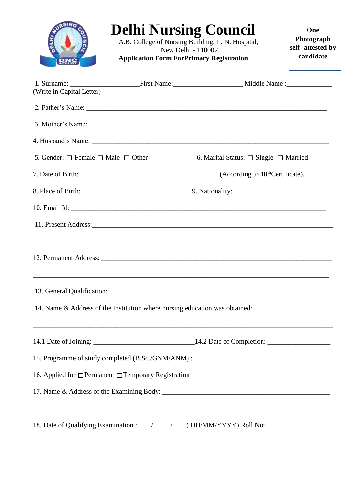|                                                   | <b>Delhi Nursing Council</b><br>A.B. College of Nursing Building, L. N. Hospital,<br>New Delhi - 110002<br><b>Application Form ForPrimary Registration</b>                                                                           |                                                 | One<br>Photograph<br>self-attested by<br>candidate |
|---------------------------------------------------|--------------------------------------------------------------------------------------------------------------------------------------------------------------------------------------------------------------------------------------|-------------------------------------------------|----------------------------------------------------|
| (Write in Capital Letter)                         |                                                                                                                                                                                                                                      |                                                 |                                                    |
|                                                   |                                                                                                                                                                                                                                      |                                                 |                                                    |
|                                                   |                                                                                                                                                                                                                                      |                                                 |                                                    |
|                                                   |                                                                                                                                                                                                                                      |                                                 |                                                    |
| 5. Gender: $\Box$ Female $\Box$ Male $\Box$ Other |                                                                                                                                                                                                                                      | 6. Marital Status: $\Box$ Single $\Box$ Married |                                                    |
|                                                   |                                                                                                                                                                                                                                      |                                                 |                                                    |
|                                                   |                                                                                                                                                                                                                                      |                                                 |                                                    |
|                                                   |                                                                                                                                                                                                                                      |                                                 |                                                    |
|                                                   | 11. Present Address: <u>Container and the set of the set of the set of the set of the set of the set of the set of the set of the set of the set of the set of the set of the set of the set of the set of the set of the set of</u> |                                                 |                                                    |
|                                                   | ,我们也不能在这里的人,我们也不能在这里的人,我们也不能在这里的人,我们也不能在这里的人,我们也不能在这里的人,我们也不能在这里的人,我们也不能在这里的人,我们也                                                                                                                                                    |                                                 |                                                    |
|                                                   |                                                                                                                                                                                                                                      |                                                 |                                                    |
|                                                   | 14. Name & Address of the Institution where nursing education was obtained: __________________________________                                                                                                                       |                                                 |                                                    |
|                                                   |                                                                                                                                                                                                                                      |                                                 |                                                    |
|                                                   | 15. Programme of study completed (B.Sc./GNM/ANM) : ______________________________                                                                                                                                                    |                                                 |                                                    |
|                                                   | 16. Applied for □ Permanent □ Temporary Registration                                                                                                                                                                                 |                                                 |                                                    |
|                                                   |                                                                                                                                                                                                                                      |                                                 |                                                    |
|                                                   |                                                                                                                                                                                                                                      |                                                 |                                                    |